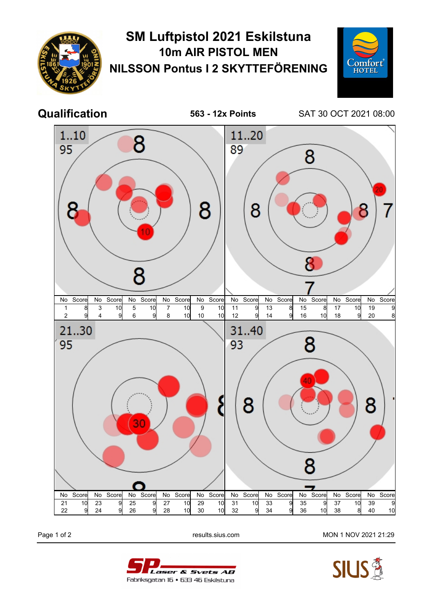

## **SM Luftpistol 2021 Eskilstuna 10m AIR PISTOL MEN NILSSON Pontus I 2 SKYTTEFÖRENING**



**Qualification 563 - 12x Points** SAT 30 OCT 2021 08:00



Laser & Svets AB Fabriksgatan 16 • 633 46 Eskilstuna

Page 1 of 2 **Page 1 of 2** results.sius.com MON 1 NOV 2021 21:29